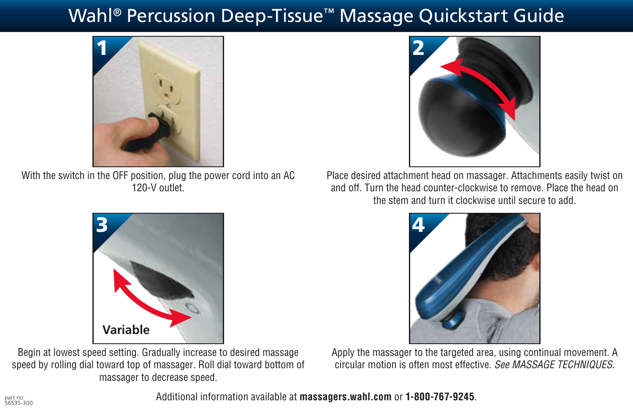## Wahl<sup>®</sup> Percussion Deep-Tissue™ Massage Quickstart Guide



With the switch in the OFF position, plug the power cord into an AC 120-V outlet.



Begin at lowest speed setting. Gradually increase to desired massage speed by rolling dial toward top of massager. Roll dial toward bottom of massager to decrease speed.



Place desired attachment head on massager. Attachments easily twist on and off. Turn the head counter-clockwise to remove. Place the head on the stem and turn it clockwise until secure to add.



Apply the massager to the targeted area, using continual movement. A circular motion is often most effective. *See MASSAGE TECHNIQUES*.

56535-300 Additional information available at **massagers.wahl.com** or **1-800-767-9245**.